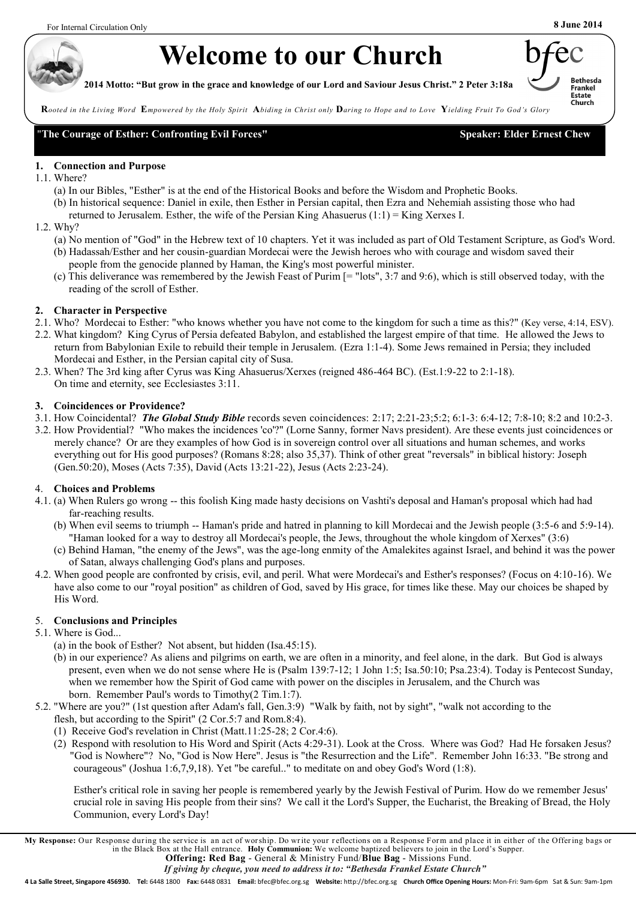# **Welcome to our Church**

**2014 Motto: "But grow in the grace and knowledge of our Lord and Saviour Jesus Christ." 2 Peter 3:18a**



**R***ooted in the Living Word* **E***mpowered by the Holy Spirit* **A***biding in Christ only* **D***aring to Hope and to Love* **Y***ielding Fruit To God's Glory*

"**The Courage of Esther: Confronting Evil Forces" Speaker: Elder Ernest Chew**

### **1. Connection and Purpose**

- 1.1. Where?
	- (a) In our Bibles, "Esther" is at the end of the Historical Books and before the Wisdom and Prophetic Books.
	- (b) In historical sequence: Daniel in exile, then Esther in Persian capital, then Ezra and Nehemiah assisting those who had
		- returned to Jerusalem. Esther, the wife of the Persian King Ahasuerus  $(1:1)$  = King Xerxes I.
- 1.2. Why?
	- (a) No mention of "God" in the Hebrew text of 10 chapters. Yet it was included as part of Old Testament Scripture, as God's Word. (b) Hadassah/Esther and her cousin-guardian Mordecai were the Jewish heroes who with courage and wisdom saved their people from the genocide planned by Haman, the King's most powerful minister.
	- (c) This deliverance was remembered by the Jewish Feast of Purim [= "lots", 3:7 and 9:6), which is still observed today, with the reading of the scroll of Esther.

# **2. Character in Perspective**

- 2.1. Who? Mordecai to Esther: "who knows whether you have not come to the kingdom for such a time as this?" (Key verse, 4:14, ESV).
- 2.2. What kingdom? King Cyrus of Persia defeated Babylon, and established the largest empire of that time. He allowed the Jews to return from Babylonian Exile to rebuild their temple in Jerusalem. (Ezra 1:1-4). Some Jews remained in Persia; they included Mordecai and Esther, in the Persian capital city of Susa.
- 2.3. When? The 3rd king after Cyrus was King Ahasuerus/Xerxes (reigned 486-464 BC). (Est.1:9-22 to 2:1-18). On time and eternity, see Ecclesiastes 3:11.

## **3. Coincidences or Providence?**

- 3.1. How Coincidental? *The Global Study Bible* records seven coincidences: 2:17; 2:21-23;5:2; 6:1-3: 6:4-12; 7:8-10; 8:2 and 10:2-3.
- 3.2. How Providential? "Who makes the incidences 'co'?" (Lorne Sanny, former Navs president). Are these events just coincidences or merely chance? Or are they examples of how God is in sovereign control over all situations and human schemes, and works everything out for His good purposes? (Romans 8:28; also 35,37). Think of other great "reversals" in biblical history: Joseph (Gen.50:20), Moses (Acts 7:35), David (Acts 13:21-22), Jesus (Acts 2:23-24).

# 4. **Choices and Problems**

- 4.1. (a) When Rulers go wrong -- this foolish King made hasty decisions on Vashti's deposal and Haman's proposal which had had far-reaching results.
	- (b) When evil seems to triumph -- Haman's pride and hatred in planning to kill Mordecai and the Jewish people (3:5-6 and 5:9-14). "Haman looked for a way to destroy all Mordecai's people, the Jews, throughout the whole kingdom of Xerxes" (3:6)
	- (c) Behind Haman, "the enemy of the Jews", was the age-long enmity of the Amalekites against Israel, and behind it was the power of Satan, always challenging God's plans and purposes.
- 4.2. When good people are confronted by crisis, evil, and peril. What were Mordecai's and Esther's responses? (Focus on 4:10-16). We have also come to our "royal position" as children of God, saved by His grace, for times like these. May our choices be shaped by His Word.

# 5. **Conclusions and Principles**

- 5.1. Where is God...
	- (a) in the book of Esther? Not absent, but hidden (Isa.45:15).
	- (b) in our experience? As aliens and pilgrims on earth, we are often in a minority, and feel alone, in the dark. But God is always present, even when we do not sense where He is (Psalm 139:7-12; 1 John 1:5; Isa.50:10; Psa.23:4). Today is Pentecost Sunday, when we remember how the Spirit of God came with power on the disciples in Jerusalem, and the Church was born. Remember Paul's words to Timothy(2 Tim.1:7).
- 5.2. "Where are you?" (1st question after Adam's fall, Gen.3:9) "Walk by faith, not by sight", "walk not according to the flesh, but according to the Spirit" (2 Cor.5:7 and Rom.8:4).
	- (1) Receive God's revelation in Christ (Matt.11:25-28; 2 Cor.4:6).
	- (2) Respond with resolution to His Word and Spirit (Acts 4:29-31). Look at the Cross. Where was God? Had He forsaken Jesus? "God is Nowhere"? No, "God is Now Here". Jesus is "the Resurrection and the Life". Remember John 16:33. "Be strong and courageous" (Joshua 1:6,7,9,18). Yet "be careful.." to meditate on and obey God's Word (1:8).

Esther's critical role in saving her people is remembered yearly by the Jewish Festival of Purim. How do we remember Jesus' crucial role in saving His people from their sins? We call it the Lord's Supper, the Eucharist, the Breaking of Bread, the Holy Communion, every Lord's Day!

My Response: Our Response during the service is an act of worship. Do write your reflections on a Response Form and place it in either of the Offering bags or<br>in the Black Box at the Hall entrance. Holy Communion: We welco **Offering: Red Bag** - General & Ministry Fund/**Blue Bag** - Missions Fund.

**4 La Salle Street, Singapore 456930. Tel:** 6448 1800 **Fax:** 6448 0831 **Email:** bfec@bfec.org.sg **Website:** http://bfec.org.sg **Church Office Opening Hours:** Mon-Fri: 9am-6pm Sat & Sun: 9am-1pm